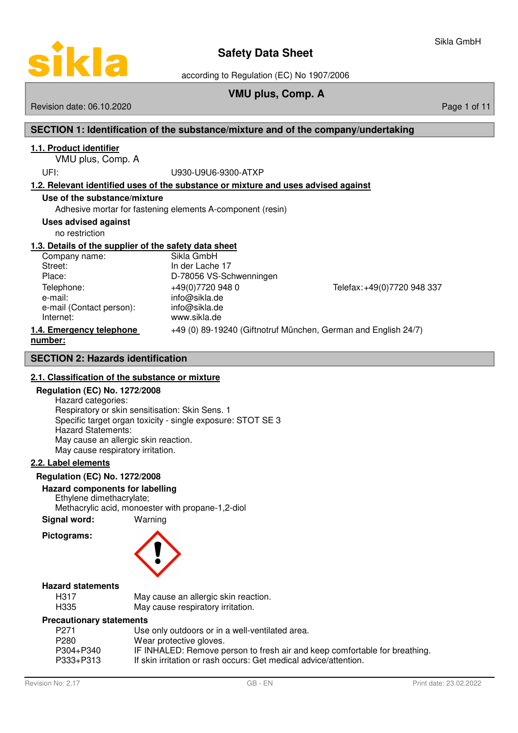

according to Regulation (EC) No 1907/2006

# **VMU plus, Comp. A**

### Revision date: 06.10.2020 **Page 1 of 11** and 2020 **Page 1 of 11** and 2020 **Page 1 of 11** and 2020 **Page 1 of 11**

# **SECTION 1: Identification of the substance/mixture and of the company/undertaking**

## **1 . 1 . Product identifier**

VMU plus, Comp. A

### UFI: U930-U9U6-9300-ATXP

### **1 . 2 . Relevant identified uses of the substance or mixture and uses advised against**

### **Use of the substance/mixture**

Adhesive mortar for fastening elements A-component (resin)

### **Uses advised against**

no restriction

## **1 . 3 . Details of the supplier of the safety data sheet**

Company name: Sikla GmbH<br>Street: Street: Street: Street: Street: Street: In der Lache 17<br>Place: In 278056 VS-Sc e-mail: info@sikla.de e-mail (Contact person): info@sikla.de Internet: www.sikla.de

D-78056 VS-Schwenningen Telephone: +49(0)7720 948 0 Telefax: +49(0)7720 948 337

# **1.4. Emergency telephone** +49 (0) 89-19240 (Giftnotruf München, German and English 24/7) **number :**

## **SECTION 2: Hazards identification**

# **2 . 1 . Classification of the substance or mixture**

### **Regulation (EC) No. 1272/2008**

Hazard categories: Respiratory or skin sensitisation: Skin Sens. 1 Specific target organ toxicity - single exposure: STOT SE 3 Hazard Statements: May cause an allergic skin reaction. May cause respiratory irritation.

### **2 . 2 . Label elements**

### **Regulation (EC) No. 1272/2008**

### **Hazard components for labelling**

Ethylene dimethacrylate;

Methacrylic acid, monoester with propane-1,2-diol **Signal word:** Warning

# **Pictograms:**



### **Hazard statements**

| H317 | May cause an allergic skin reaction. |
|------|--------------------------------------|
| H335 | May cause respiratory irritation.    |

### **Precautionary statements**

| P <sub>271</sub> | Use only outdoors or in a well-ventilated area.                            |
|------------------|----------------------------------------------------------------------------|
| P <sub>280</sub> | Wear protective gloves.                                                    |
| P304+P340        | IF INHALED: Remove person to fresh air and keep comfortable for breathing. |
| P333+P313        | If skin irritation or rash occurs: Get medical advice/attention.           |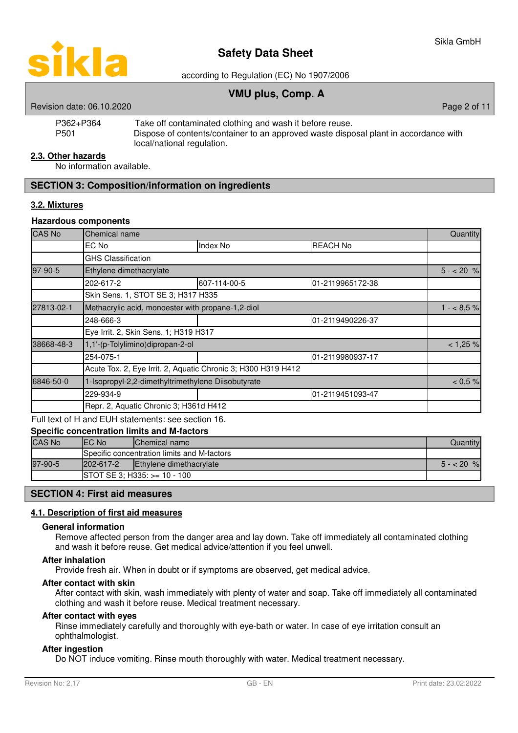

according to Regulation (EC) No 1907/2006

# **VMU plus, Comp. A**

| P362+P364 | Take off contaminated clothing and wash it before reuse.                             |
|-----------|--------------------------------------------------------------------------------------|
| P501      | Dispose of contents/container to an approved waste disposal plant in accordance with |
|           | local/national regulation.                                                           |

### **2 . 3 . Other hazards**

No information available.

## **SECTION 3: Composition/information on ingredients**

# **3 . 2 . Mixtures**

### **Hazardous components**

| <b>CAS No</b> | Chemical name                                                 |                                                   |                  |            |  |  |
|---------------|---------------------------------------------------------------|---------------------------------------------------|------------------|------------|--|--|
|               | EC No                                                         | Index No                                          | <b>REACH No</b>  |            |  |  |
|               | <b>GHS Classification</b>                                     |                                                   |                  |            |  |  |
| 97-90-5       | Ethylene dimethacrylate                                       |                                                   |                  | $5 - 20 %$ |  |  |
|               | 202-617-2                                                     | 607-114-00-5                                      | 01-2119965172-38 |            |  |  |
|               | Skin Sens. 1, STOT SE 3; H317 H335                            |                                                   |                  |            |  |  |
| 27813-02-1    |                                                               | Methacrylic acid, monoester with propane-1,2-diol |                  |            |  |  |
|               | 248-666-3                                                     |                                                   | 01-2119490226-37 |            |  |  |
|               | Eye Irrit. 2, Skin Sens. 1; H319 H317                         |                                                   |                  |            |  |  |
| 38668-48-3    | 1,1'-(p-Tolylimino)dipropan-2-ol                              |                                                   |                  | < 1,25%    |  |  |
|               | 254-075-1                                                     |                                                   | 01-2119980937-17 |            |  |  |
|               | Acute Tox. 2, Eye Irrit. 2, Aquatic Chronic 3; H300 H319 H412 |                                                   |                  |            |  |  |
| 6846-50-0     | 1-Isopropyl-2,2-dimethyltrimethylene Diisobutyrate            |                                                   |                  | $< 0.5 \%$ |  |  |
|               | 229-934-9                                                     |                                                   | 01-2119451093-47 |            |  |  |
|               | Repr. 2, Aquatic Chronic 3; H361d H412                        |                                                   |                  |            |  |  |

Full text of H and EUH statements: see section 16.

### **Specific concentration limits and M-factors**

| <b>CAS No</b> | <b>IEC No</b>   | <b>Chemical name</b>                        | Quantitvl |  |  |
|---------------|-----------------|---------------------------------------------|-----------|--|--|
|               |                 | Specific concentration limits and M-factors |           |  |  |
| 97-90-5       | $202 - 617 - 2$ | Ethylene dimethacrylate                     |           |  |  |
|               |                 | $\text{ISTOT}$ SE 3; H335: $> = 10 - 100$   |           |  |  |

### **SECTION 4: First aid measures**

### **4 . 1 . Description of first aid measures**

### **General information**

Remove affected person from the danger area and lay down. Take off immediately all contaminated clothing and wash it before reuse. Get medical advice/attention if you feel unwell.

### **After inhalation**

Provide fresh air. When in doubt or if symptoms are observed, get medical advice.

### **After contact with skin**

After contact with skin, wash immediately with plenty of water and soap. Take off immediately all contaminated clothing and wash it before reuse. Medical treatment necessary.

### **After contact with eyes**

Rinse immediately carefully and thoroughly with eye-bath or water. In case of eye irritation consult an ophthalmologist.

## **After ingestion**

Do NOT induce vomiting. Rinse mouth thoroughly with water. Medical treatment necessary.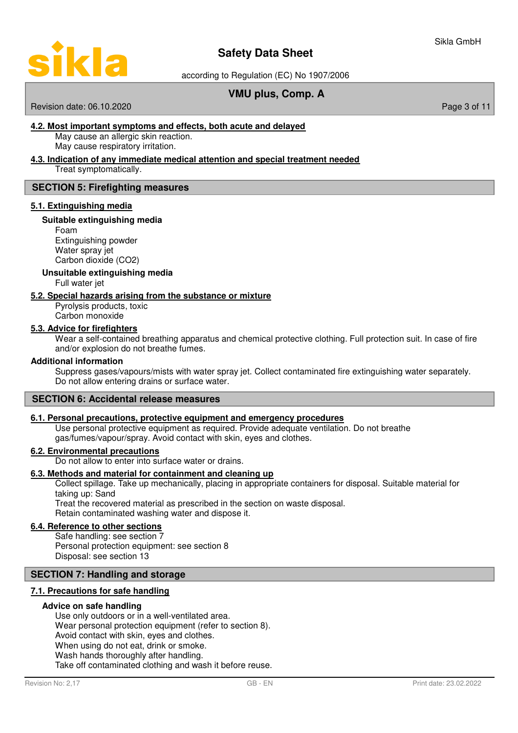

according to Regulation (EC) No 1907/2006

# **VMU plus, Comp. A**

### Revision date: 06.10.2020 **Page 3 of 11** New York 2012 12:00 Page 3 of 11

### **4 . 2 . M ost important symptoms and effects, b oth acute and delayed**

May cause an allergic skin reaction. May cause respiratory irritation.

# **4. 3 . I ndication of any immediate medical attention and special treatment needed**

Treat symptomatically.

## **SECTION 5: Firefighting measures**

### **5 . 1 . E xtinguishing media**

### **Suitable extinguishing media**

Foam Extinguishing powder Water spray jet Carbon dioxide (CO2)

**Unsuitable extinguishing media**

Full water jet

### **5 . 2 . Special hazards arising from the substance or mixture**

Pyrolysis products, toxic Carbon monoxide

### **5 . 3 . Advice for firefighters**

Wear a self-contained breathing apparatus and chemical protective clothing. Full protection suit. In case of fire and/or explosion do not breathe fumes.

### **Additional information**

Suppress gases/vapours/mists with water spray jet. Collect contaminated fire extinguishing water separately. Do not allow entering drains or surface water.

## **SECTION 6: Accidental release measures**

### **6 . 1 . Personal precautions , protective equipment and emergency procedures**

Use personal protective equipment as required. Provide adequate ventilation. Do not breathe gas/fumes/vapour/spray. Avoid contact with skin, eyes and clothes.

### **6 . 2 . Environmental precautions**

Do not allow to enter into surface water or drains.

### **6 . 3 . Methods and material for containment and cleaning up**

Collect spillage. Take up mechanically, placing in appropriate containers for disposal. Suitable material for taking up: Sand Treat the recovered material as prescribed in the section on waste disposal.

Retain contaminated washing water and dispose it.

## **6 . 4 . Reference to other sections**

Safe handling: see section 7 Personal protection equipment: see section 8 Disposal: see section 13

### **SECTION 7: Handling and storage**

### **7 . 1 . Precautions for safe handling**

### **Advice on safe handling**

Use only outdoors or in a well-ventilated area. Wear personal protection equipment (refer to section 8). Avoid contact with skin, eyes and clothes. When using do not eat, drink or smoke. Wash hands thoroughly after handling. Take off contaminated clothing and wash it before reuse.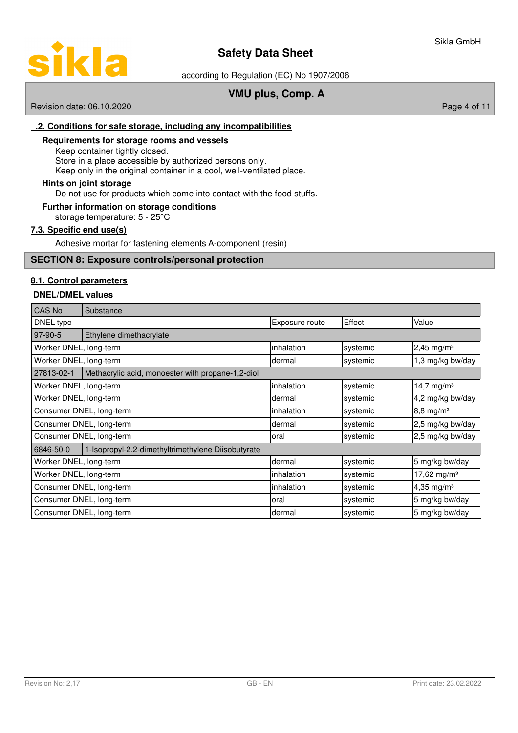

according to Regulation (EC) No 1907/2006

# **VMU plus, Comp. A**

Revision date: 06.10.2020 **Page 4 of 11** 

## **. 2 . C onditions for safe storage, i ncluding any incompatibilities**

## **Requirements for storage rooms and vessels**

Keep container tightly closed. Store in a place accessible by authorized persons only. Keep only in the original container in a cool, well-ventilated place.

### **Hints on joint storage**

Do not use for products which come into contact with the food stuffs.

## **Further information on storage conditions**

storage temperature: 5 - 25°C

## **7 . 3 . Specific end use ( s )**

Adhesive mortar for fastening elements A-component (resin)

### **SECTION 8: Exposure controls/personal protection**

### **8 . 1 . Control parameters**

### **DNEL/DMEL values**

| <b>CAS No</b>            | Substance                                          |                |          |                          |  |  |
|--------------------------|----------------------------------------------------|----------------|----------|--------------------------|--|--|
| DNEL type                |                                                    | Exposure route | Effect   | Value                    |  |  |
| 97-90-5                  | Ethylene dimethacrylate                            |                |          |                          |  |  |
| Worker DNEL, long-term   |                                                    | inhalation     | systemic | $2,45$ mg/m <sup>3</sup> |  |  |
| Worker DNEL, long-term   |                                                    | dermal         | systemic | 1,3 mg/kg bw/day         |  |  |
| 27813-02-1               | Methacrylic acid, monoester with propane-1,2-diol  |                |          |                          |  |  |
| Worker DNEL, long-term   |                                                    | inhalation     | systemic | 14,7 mg/m <sup>3</sup>   |  |  |
| Worker DNEL, long-term   |                                                    | dermal         | systemic | 4,2 mg/kg bw/day         |  |  |
|                          | Consumer DNEL, long-term                           | inhalation     | systemic | $8,8 \, \text{mg/m}^3$   |  |  |
| Consumer DNEL, long-term |                                                    | dermal         | systemic | 2,5 mg/kg bw/day         |  |  |
|                          | Consumer DNEL, long-term                           | loral          | systemic | 2,5 mg/kg bw/day         |  |  |
| 6846-50-0                | 1-Isopropyl-2,2-dimethyltrimethylene Diisobutyrate |                |          |                          |  |  |
| Worker DNEL, long-term   |                                                    | dermal         | systemic | 5 mg/kg bw/day           |  |  |
| Worker DNEL, long-term   |                                                    | inhalation     | systemic | 17,62 mg/m <sup>3</sup>  |  |  |
| Consumer DNEL, long-term |                                                    | inhalation     | systemic | 4,35 mg/m <sup>3</sup>   |  |  |
| Consumer DNEL, long-term |                                                    | oral           | systemic | 5 mg/kg bw/day           |  |  |
|                          | Consumer DNEL, long-term                           | ldermal        | systemic | 5 mg/kg bw/day           |  |  |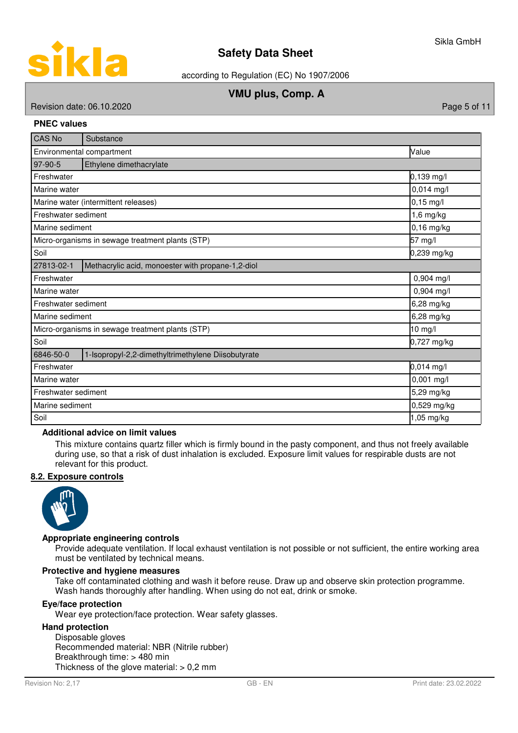

according to Regulation (EC) No 1907/2006

# **VMU plus, Comp. A**

Revision date: 06.10.2020 **Page 5 of 11** No. 2020

### **PNEC values**

| <b>CAS No</b>                     | Substance                                          |              |  |  |  |  |
|-----------------------------------|----------------------------------------------------|--------------|--|--|--|--|
| Environmental compartment         | Value                                              |              |  |  |  |  |
| 97-90-5                           | Ethylene dimethacrylate                            |              |  |  |  |  |
| 0,139 mg/l<br>Freshwater          |                                                    |              |  |  |  |  |
| Marine water                      |                                                    | $0,014$ mg/l |  |  |  |  |
|                                   | Marine water (intermittent releases)               | $0,15$ mg/l  |  |  |  |  |
| Freshwater sediment               |                                                    | $1,6$ mg/kg  |  |  |  |  |
| Marine sediment                   |                                                    | $0,16$ mg/kg |  |  |  |  |
|                                   | Micro-organisms in sewage treatment plants (STP)   | 57 mg/l      |  |  |  |  |
| Soil                              | 0,239 mg/kg                                        |              |  |  |  |  |
| 27813-02-1                        | Methacrylic acid, monoester with propane-1,2-diol  |              |  |  |  |  |
| 0,904 mg/l<br>Freshwater          |                                                    |              |  |  |  |  |
| 0,904 mg/l<br>Marine water        |                                                    |              |  |  |  |  |
| Freshwater sediment<br>6,28 mg/kg |                                                    |              |  |  |  |  |
| Marine sediment                   |                                                    | 6,28 mg/kg   |  |  |  |  |
|                                   | Micro-organisms in sewage treatment plants (STP)   | 10 mg/l      |  |  |  |  |
| Soil                              |                                                    | 0,727 mg/kg  |  |  |  |  |
| 6846-50-0                         | 1-Isopropyl-2,2-dimethyltrimethylene Diisobutyrate |              |  |  |  |  |
| 0,014 mg/l<br>Freshwater          |                                                    |              |  |  |  |  |
| 0,001 mg/l<br>Marine water        |                                                    |              |  |  |  |  |
|                                   | 5,29 mg/kg<br>Freshwater sediment                  |              |  |  |  |  |
| Marine sediment                   |                                                    | 0,529 mg/kg  |  |  |  |  |
| Soil                              |                                                    | 1,05 mg/kg   |  |  |  |  |

## **Additional advice on limit values**

This mixture contains quartz filler which is firmly bound in the pasty component, and thus not freely available during use, so that a risk of dust inhalation is excluded. Exposure limit values for respirable dusts are not relevant for this product.

### **8 . 2 . Exposure controls**



### **Appropriate engineering controls**

Provide adequate ventilation. If local exhaust ventilation is not possible or not sufficient, the entire working area must be ventilated by technical means.

### **Protective and hygiene measures**

Take off contaminated clothing and wash it before reuse. Draw up and observe skin protection programme. Wash hands thoroughly after handling. When using do not eat, drink or smoke.

## **Eye/face protection**

Wear eye protection/face protection. Wear safety glasses.

### **Hand protection**

Disposable gloves Recommended material: NBR (Nitrile rubber) Breakthrough time: > 480 min Thickness of the glove material:  $> 0.2$  mm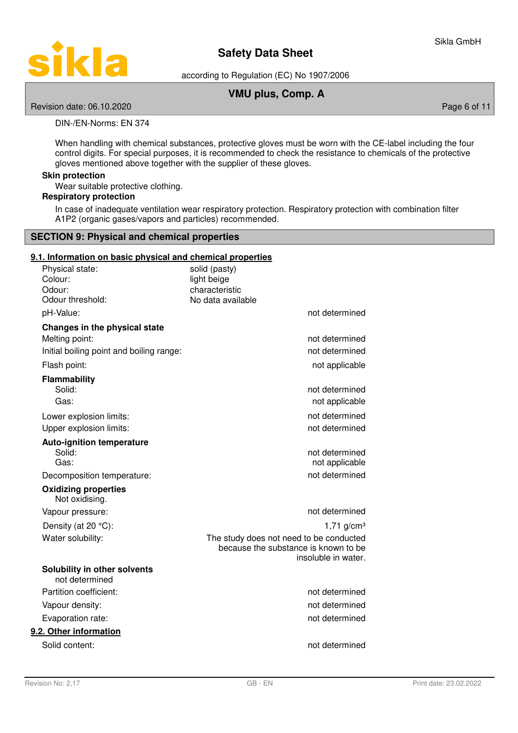

according to Regulation (EC) No 1907/2006

# **VMU plus, Comp. A**

Revision date: 06.10.2020 **Page 6 of 11** No. 2020 **Page 6 of 11** 

DIN-/EN-Norms: EN 374

When handling with chemical substances, protective gloves must be worn with the CE-label including the four control digits. For special purposes, it is recommended to check the resistance to chemicals of the protective gloves mentioned above together with the supplier of these gloves.

### **Skin protection**

Wear suitable protective clothing.

## **Respiratory protection**

In case of inadequate ventilation wear respiratory protection. Respiratory protection with combination filter A1P2 (organic gases/vapors and particles) recommended.

### **SECTION 9: Physical and chemical properties**

## **9 . 1 . Information on basic physical and chemical properties**

| Physical state:<br>Colour:<br>Odour:<br>Odour threshold:                                    | solid (pasty)<br>light beige<br>characteristic<br>No data available                                    |
|---------------------------------------------------------------------------------------------|--------------------------------------------------------------------------------------------------------|
| pH-Value:                                                                                   | not determined                                                                                         |
| Changes in the physical state<br>Melting point:<br>Initial boiling point and boiling range: | not determined<br>not determined                                                                       |
| Flash point:                                                                                | not applicable                                                                                         |
|                                                                                             |                                                                                                        |
| <b>Flammability</b><br>Solid:<br>Gas:                                                       | not determined<br>not applicable                                                                       |
| Lower explosion limits:<br>Upper explosion limits:                                          | not determined<br>not determined                                                                       |
| <b>Auto-ignition temperature</b><br>Solid:<br>Gas:                                          | not determined<br>not applicable                                                                       |
| Decomposition temperature:                                                                  | not determined                                                                                         |
| <b>Oxidizing properties</b><br>Not oxidising.                                               |                                                                                                        |
| Vapour pressure:                                                                            | not determined                                                                                         |
| Density (at 20 °C):                                                                         | $1,71$ g/cm <sup>3</sup>                                                                               |
| Water solubility:                                                                           | The study does not need to be conducted<br>because the substance is known to be<br>insoluble in water. |
| Solubility in other solvents<br>not determined                                              |                                                                                                        |
| Partition coefficient:                                                                      | not determined                                                                                         |
| Vapour density:                                                                             | not determined                                                                                         |
| Evaporation rate:                                                                           | not determined                                                                                         |
| 9.2. Other information                                                                      |                                                                                                        |
| Solid content:                                                                              | not determined                                                                                         |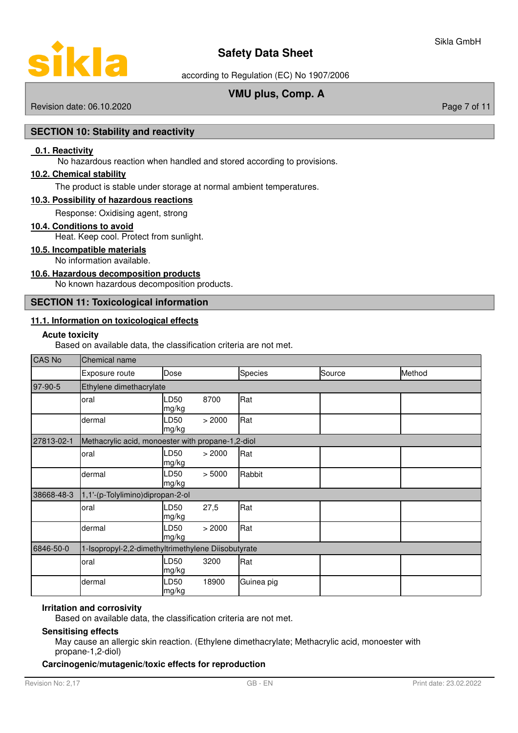

according to Regulation (EC) No 1907/2006

# **VMU plus, Comp. A**

Revision date: 06.10.2020 **Page 7 of 11** 

## **SECTION 10: Stability and reactivity**

### **0.1. Reactivity**

No hazardous reaction when handled and stored according to provisions.

### **1 0. 2 . C hemical stability**

The product is stable under storage at normal ambient temperatures.

### **1 0. 3 . P ossibility of hazardous reactions**

Response: Oxidising agent, strong

### **10 . 4 . Conditions to avoid**

Heat. Keep cool. Protect from sunlight.

### **10 . 5 . Incompatible materials**

No information available.

### **10 . 6 . Hazardous decomposition products**

No known hazardous decomposition products.

## **SECTION 11: Toxicological information**

### **11 . 1 . Information on toxicological effects**

## **Acute toxicity**

Based on available data, the classification criteria are not met.

| <b>CAS No</b> | Chemical name                                      |               |        |            |        |        |  |
|---------------|----------------------------------------------------|---------------|--------|------------|--------|--------|--|
|               | Exposure route                                     | Dose          |        | Species    | Source | Method |  |
| 97-90-5       | Ethylene dimethacrylate                            |               |        |            |        |        |  |
|               | oral                                               | LD50<br>mg/kg | 8700   | Rat        |        |        |  |
|               | dermal                                             | LD50<br>mg/kg | > 2000 | Rat        |        |        |  |
| 27813-02-1    | Methacrylic acid, monoester with propane-1,2-diol  |               |        |            |        |        |  |
|               | oral                                               | LD50<br>mg/kg | > 2000 | Rat        |        |        |  |
|               | dermal                                             | LD50<br>mg/kg | > 5000 | Rabbit     |        |        |  |
| 38668-48-3    | 1,1'-(p-Tolylimino)dipropan-2-ol                   |               |        |            |        |        |  |
|               | oral                                               | D50<br>mg/kg  | 27,5   | Rat        |        |        |  |
|               | dermal                                             | LD50<br>mg/kg | > 2000 | Rat        |        |        |  |
| 6846-50-0     | 1-Isopropyl-2,2-dimethyltrimethylene Diisobutyrate |               |        |            |        |        |  |
|               | oral                                               | LD50<br>mg/kg | 3200   | Rat        |        |        |  |
|               | dermal                                             | LD50<br>mg/kg | 18900  | Guinea pig |        |        |  |

### **Irritation and corrosivity**

Based on available data, the classification criteria are not met.

### **Sensitising effects**

May cause an allergic skin reaction. (Ethylene dimethacrylate; Methacrylic acid, monoester with propane-1,2-diol)

### **Carcinogenic/mutagenic/toxic effects for reproduction**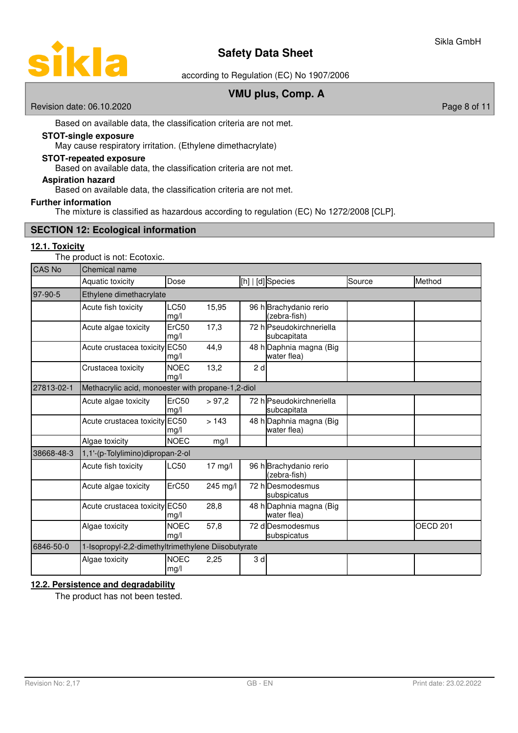

according to Regulation (EC) No 1907/2006

# **VMU plus, Comp. A**

Revision date: 06.10.2020 **Page 8 of 11** 

Based on available data, the classification criteria are not met.

# **STOT-single exposure**

May cause respiratory irritation. (Ethylene dimethacrylate)

### **STOT-repeated exposure**

Based on available data, the classification criteria are not met.

# **Aspiration hazard**

Based on available data, the classification criteria are not met.

### **Further information**

The mixture is classified as hazardous according to regulation (EC) No 1272/2008 [CLP].

### **SECTION 12: Ecological information**

### **12 . 1 . Toxicity**

The product is not: Ecotoxic.

| CAS No     | Chemical name                                      |                     |           |    |                                         |        |                     |
|------------|----------------------------------------------------|---------------------|-----------|----|-----------------------------------------|--------|---------------------|
|            | Aquatic toxicity                                   | Dose                |           |    | $[h]   [d]$ Species                     | Source | Method              |
| 97-90-5    | Ethylene dimethacrylate                            |                     |           |    |                                         |        |                     |
|            | Acute fish toxicity                                | LC50<br>mg/l        | 15,95     |    | 96 h Brachydanio rerio<br>(zebra-fish)  |        |                     |
|            | Acute algae toxicity                               | ErC50<br>mg/l       | 17,3      |    | 72 h Pseudokirchneriella<br>subcapitata |        |                     |
|            | Acute crustacea toxicity                           | <b>EC50</b><br>mg/l | 44,9      |    | 48 h Daphnia magna (Big<br>water flea)  |        |                     |
|            | Crustacea toxicity                                 | <b>NOEC</b><br>mg/l | 13,2      | 2d |                                         |        |                     |
| 27813-02-1 | Methacrylic acid, monoester with propane-1,2-diol  |                     |           |    |                                         |        |                     |
|            | Acute algae toxicity                               | ErC50<br>mg/l       | > 97,2    |    | 72 h Pseudokirchneriella<br>subcapitata |        |                     |
|            | Acute crustacea toxicity                           | <b>EC50</b><br>mg/l | >143      |    | 48 h Daphnia magna (Big<br>water flea)  |        |                     |
|            | Algae toxicity                                     | <b>NOEC</b>         | mg/l      |    |                                         |        |                     |
| 38668-48-3 | 1,1'-(p-Tolylimino)dipropan-2-ol                   |                     |           |    |                                         |        |                     |
|            | Acute fish toxicity                                | LC50                | $17$ mg/l |    | 96 h Brachydanio rerio<br>(zebra-fish)  |        |                     |
|            | Acute algae toxicity                               | ErC50               | 245 mg/l  |    | 72 hlDesmodesmus<br>subspicatus         |        |                     |
|            | Acute crustacea toxicity EC50                      | mg/l                | 28,8      |    | 48 h Daphnia magna (Big<br>water flea)  |        |                     |
|            | Algae toxicity                                     | <b>NOEC</b><br>mg/l | 57,8      |    | 72 d Desmodesmus<br>subspicatus         |        | OECD <sub>201</sub> |
| 6846-50-0  | 1-Isopropyl-2,2-dimethyltrimethylene Diisobutyrate |                     |           |    |                                         |        |                     |
|            | Algae toxicity                                     | <b>NOEC</b><br>mg/l | 2,25      | 3d |                                         |        |                     |

# **12 . 2 . Persistence and degradability**

The product has not been tested.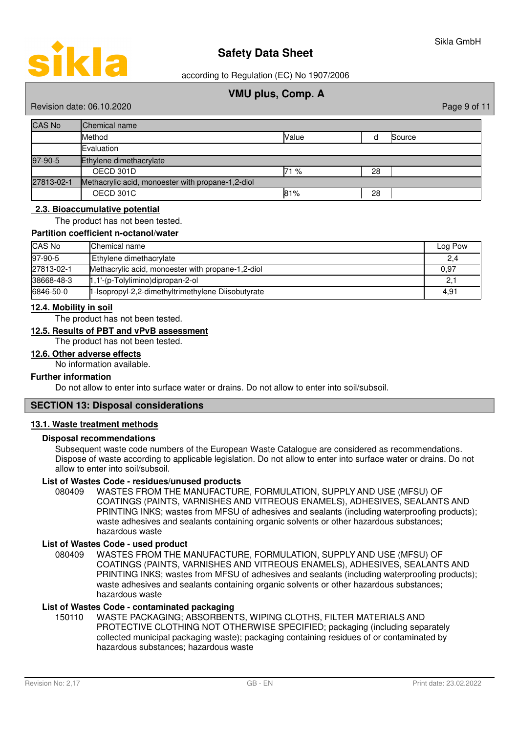according to Regulation (EC) No 1907/2006

# **VMU plus, Comp. A**

Revision date: 06.10.2020 **Page 9 of 11** New York 2012 12:00 Page 9 of 11

| <b>CAS No</b> | <b>Chemical name</b>                              |       |    |        |
|---------------|---------------------------------------------------|-------|----|--------|
|               | Method                                            | Value |    | Source |
|               | Evaluation                                        |       |    |        |
| 97-90-5       | Ethylene dimethacrylate                           |       |    |        |
|               | OECD 301D                                         | 71%   | 28 |        |
| 27813-02-1    | Methacrylic acid, monoester with propane-1,2-diol |       |    |        |
|               | OECD 301C                                         | 81%   | 28 |        |

### **2. 3 . B ioaccumulative potential**

The product has not been tested.

### **Partition coefficient n-octanol/water**

| <b>CAS No</b> | <b>Chemical name</b>                               | Log Pow |
|---------------|----------------------------------------------------|---------|
| 97-90-5       | Ethylene dimethacrylate                            | 2,4     |
| 27813-02-1    | Methacrylic acid, monoester with propane-1,2-diol  | 0,97    |
| 38668-48-3    | $\uparrow$ ,1'-(p-Tolylimino)dipropan-2-ol         | 2,1     |
| 6846-50-0     | 1-Isopropyl-2,2-dimethyltrimethylene Diisobutyrate | 4.91    |

### **12 . 4 . Mobility in soil**

The product has not been tested.

### **12 . 5 . Results of PBT and vPvB assessment**

The product has not been tested.

### **12 . 6 . Other adverse effects**

No information available.

### **Further information**

Do not allow to enter into surface water or drains. Do not allow to enter into soil/subsoil.

### **SECTION 13: Disposal considerations**

### **13 . 1 . Waste treatment methods**

### **Disposal recommendations**

Subsequent waste code numbers of the European Waste Catalogue are considered as recommendations. Dispose of waste according to applicable legislation. Do not allow to enter into surface water or drains. Do not allow to enter into soil/subsoil.

### **List of Wastes Code - residues/unused products**

080409 WASTES FROM THE MANUFACTURE, FORMULATION, SUPPLY AND USE (MFSU) OF COATINGS (PAINTS, VARNISHES AND VITREOUS ENAMELS), ADHESIVES, SEALANTS AND PRINTING INKS; wastes from MFSU of adhesives and sealants (including waterproofing products); waste adhesives and sealants containing organic solvents or other hazardous substances; hazardous waste

### **List of Wastes Code - used product**

WASTES FROM THE MANUFACTURE, FORMULATION, SUPPLY AND USE (MFSU) OF COATINGS (PAINTS, VARNISHES AND VITREOUS ENAMELS), ADHESIVES, SEALANTS AND PRINTING INKS; wastes from MFSU of adhesives and sealants (including waterproofing products); waste adhesives and sealants containing organic solvents or other hazardous substances; hazardous waste 080409

### **List of Wastes Code - contaminated packaging**

WASTE PACKAGING; ABSORBENTS, WIPING CLOTHS, FILTER MATERIALS AND PROTECTIVE CLOTHING NOT OTHERWISE SPECIFIED; packaging (including separately collected municipal packaging waste); packaging containing residues of or contaminated by hazardous substances; hazardous waste 150110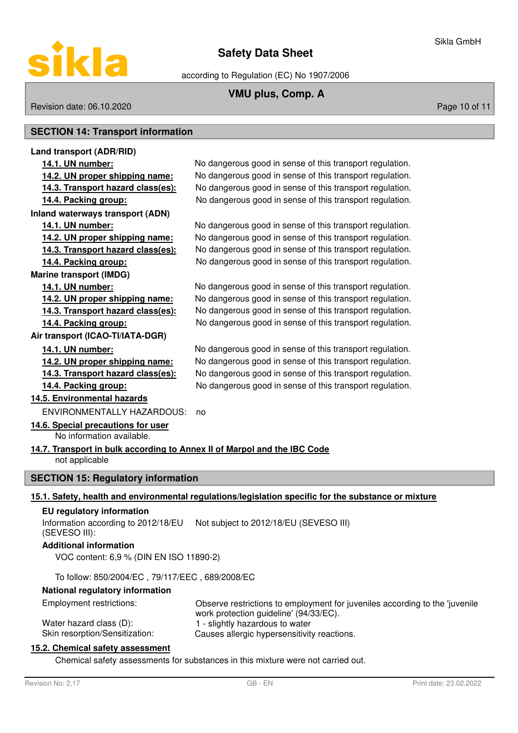

according to Regulation (EC) No 1907/2006

# **VMU plus, Comp. A**

Sikla GmbH

Revision date: 06.10.2020 **Page 10 of 11** New York 2012 12:00 Page 10 of 11

# **SECTION 14: Transport information**

| Land transport (ADR/RID)                                                 |                                                                                                                       |
|--------------------------------------------------------------------------|-----------------------------------------------------------------------------------------------------------------------|
| 14.1. UN number:                                                         | No dangerous good in sense of this transport regulation.                                                              |
| 14.2. UN proper shipping name:                                           | No dangerous good in sense of this transport regulation.                                                              |
| 14.3. Transport hazard class(es):                                        | No dangerous good in sense of this transport regulation.                                                              |
| 14.4. Packing group:                                                     | No dangerous good in sense of this transport regulation.                                                              |
| <b>Inland waterways transport (ADN)</b>                                  |                                                                                                                       |
| 14.1. UN number:                                                         | No dangerous good in sense of this transport regulation.                                                              |
| 14.2. UN proper shipping name:                                           | No dangerous good in sense of this transport regulation.                                                              |
| 14.3. Transport hazard class(es):                                        | No dangerous good in sense of this transport regulation.                                                              |
| 14.4. Packing group:                                                     | No dangerous good in sense of this transport regulation.                                                              |
| <b>Marine transport (IMDG)</b>                                           |                                                                                                                       |
| 14.1. UN number:                                                         | No dangerous good in sense of this transport regulation.                                                              |
| 14.2. UN proper shipping name:                                           | No dangerous good in sense of this transport regulation.                                                              |
| 14.3. Transport hazard class(es):                                        | No dangerous good in sense of this transport regulation.                                                              |
| 14.4. Packing group:                                                     | No dangerous good in sense of this transport regulation.                                                              |
| Air transport (ICAO-TI/IATA-DGR)                                         |                                                                                                                       |
| 14.1. UN number:                                                         | No dangerous good in sense of this transport regulation.                                                              |
| 14.2. UN proper shipping name:                                           | No dangerous good in sense of this transport regulation.                                                              |
| 14.3. Transport hazard class(es):                                        | No dangerous good in sense of this transport regulation.                                                              |
| 14.4. Packing group:                                                     | No dangerous good in sense of this transport regulation.                                                              |
| 14.5. Environmental hazards                                              |                                                                                                                       |
| <b>ENVIRONMENTALLY HAZARDOUS:</b>                                        | no                                                                                                                    |
| 14.6. Special precautions for user<br>No information available.          |                                                                                                                       |
| 14.7. Transport in bulk according to Annex II of Marpol and the IBC Code |                                                                                                                       |
| not applicable                                                           |                                                                                                                       |
| <b>SECTION 15: Regulatory information</b>                                |                                                                                                                       |
|                                                                          | 15.1. Safety, health and environmental regulations/legislation specific for the substance or mixture                  |
| <b>EU</b> regulatory information                                         |                                                                                                                       |
| Information according to 2012/18/EU                                      | Not subject to 2012/18/EU (SEVESO III)                                                                                |
| (SEVESO III):                                                            |                                                                                                                       |
| <b>Additional information</b><br>VOC content: 6,9 % (DIN EN ISO 11890-2) |                                                                                                                       |
| To follow: 850/2004/EC, 79/117/EEC, 689/2008/EC                          |                                                                                                                       |
| National regulatory information                                          |                                                                                                                       |
| <b>Employment restrictions:</b>                                          | Observe restrictions to employment for juveniles according to the 'juvenile<br>untly protootion quidoling! (01/22/EC) |

work protection guideline' (94/33/EC). Water hazard class (D): 1 - slightly hazardous to water<br>Skin resorption/Sensitization: Causes allergic hypersensitivity Causes allergic hypersensitivity reactions.

## **15.2. Chemical safety assessment**

Chemical safety assessments for substances in this mixture were not carried out.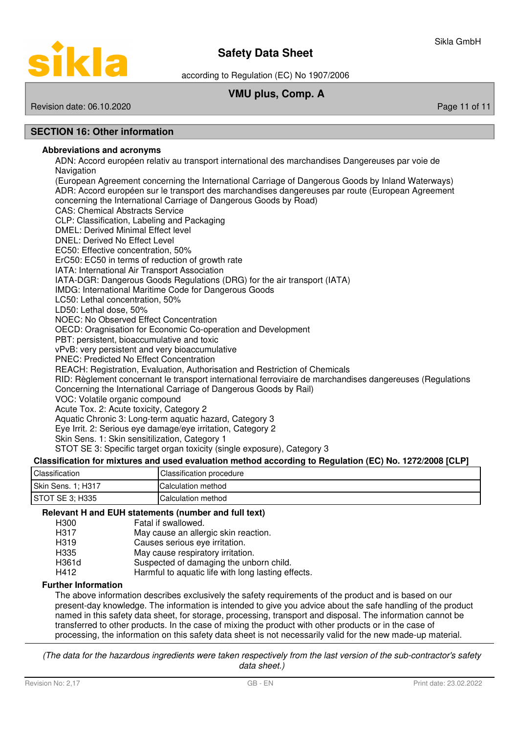

according to Regulation (EC) No 1907/2006

# **VMU plus, Comp. A**

# Revision date: 06.10.2020 **Page 11 of 11** New York 2012 12:00 Page 11 of 11

# **SECTION 16: Other information**

### **Abbreviations and acronyms**

ADN: Accord européen relativ au transport international des marchandises Dangereuses par voie de **Navigation** (European Agreement concerning the International Carriage of Dangerous Goods by Inland Waterways) ADR: Accord européen sur le transport des marchandises dangereuses par route (European Agreement

concerning the International Carriage of Dangerous Goods by Road)

CAS: Chemical Abstracts Service

CLP: Classification, Labeling and Packaging

DMEL: Derived Minimal Effect level

DNEL: Derived No Effect Level

EC50: Effective concentration, 50%

ErC50: EC50 in terms of reduction of growth rate

IATA: International Air Transport Association

IATA-DGR: Dangerous Goods Regulations (DRG) for the air transport (IATA)

IMDG: International Maritime Code for Dangerous Goods

LC50: Lethal concentration, 50%

LD50: Lethal dose, 50%

NOEC: No Observed Effect Concentration

OECD: Oragnisation for Economic Co-operation and Development

PBT: persistent, bioaccumulative and toxic

vPvB: very persistent and very bioaccumulative

PNEC: Predicted No Effect Concentration

REACH: Registration, Evaluation, Authorisation and Restriction of Chemicals

RID: Règlement concernant le transport international ferroviaire de marchandises dangereuses (Regulations Concerning the International Carriage of Dangerous Goods by Rail)

VOC: Volatile organic compound

Acute Tox. 2: Acute toxicity, Category 2

Aquatic Chronic 3: Long-term aquatic hazard, Category 3

Eye Irrit. 2: Serious eye damage/eye irritation, Category 2

Skin Sens. 1: Skin sensitilization, Category 1

STOT SE 3: Specific target organ toxicity (single exposure), Category 3

### **Classification for mixtures and used evaluation method according to Regulation (EC) No. 1272/2008 [CLP]**

| Classification     | Classification procedure |
|--------------------|--------------------------|
| Skin Sens. 1; H317 | Calculation method       |
| STOT SE 3: H335    | Calculation method       |

### **Relevant H and EUH statements (number and full text)**

| H <sub>300</sub>  | Fatal if swallowed.                                |
|-------------------|----------------------------------------------------|
| H317              | May cause an allergic skin reaction.               |
| H <sub>3</sub> 19 | Causes serious eye irritation.                     |
| H335              | May cause respiratory irritation.                  |
| H361d             | Suspected of damaging the unborn child.            |
| H412              | Harmful to aquatic life with long lasting effects. |
|                   |                                                    |

### **Further Information**

The above information describes exclusively the safety requirements of the product and is based on our present-day knowledge. The information is intended to give you advice about the safe handling of the product named in this safety data sheet, for storage, processing, transport and disposal. The information cannot be transferred to other products. In the case of mixing the product with other products or in the case of processing, the information on this safety data sheet is not necessarily valid for the new made-up material.

(The data for the hazardous ingredients were taken respectively from the last version of the sub-contractor's safety data sheet.)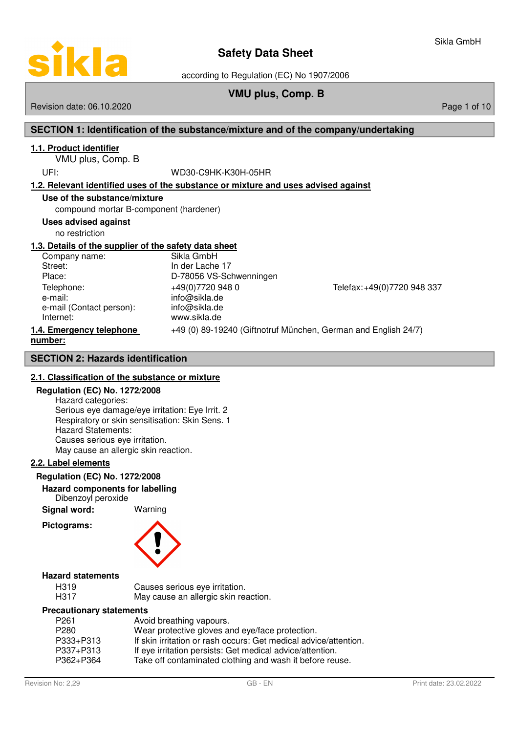

according to Regulation (EC) No 1907/2006

# **VMU plus, Comp. B**

### Revision date: 06.10.2020 **Page 1 of 10** New York 2010 12:00 Page 1 of 10

# **SECTION 1: Identification of the substance/mixture and of the company/undertaking**

# **1 . 1 . Product identifier**

VMU plus, Comp. B

### UFI: WD30-C9HK-K30H-05HR

### **1 . 2 . Relevant identified uses of the substance or mixture and uses advised against**

### **Use of the substance/mixture**

compound mortar B-component (hardener)

### **Uses advised against**

no restriction

## **1 . 3 . Details of the supplier of the safety data sheet**

Company name: Sikla GmbH<br>Street: Street: Street: Street: Street: Street: In der Lache 17<br>Place: In 278056 VS-Sc e-mail: info@sikla.de e-mail (Contact person): info@sikla.de Internet: www.sikla.de

D-78056 VS-Schwenningen Telephone: +49(0)7720 948 0 Telefax: +49(0)7720 948 337

# **1.4. Emergency telephone** +49 (0) 89-19240 (Giftnotruf München, German and English 24/7) **number :**

## **SECTION 2: Hazards identification**

## **2 . 1 . Classification of the substance or mixture**

### **Regulation (EC) No. 1272/2008**

Hazard categories: Serious eye damage/eye irritation: Eye Irrit. 2 Respiratory or skin sensitisation: Skin Sens. 1 Hazard Statements: Causes serious eye irritation. May cause an allergic skin reaction.

### **2 . 2 . Label elements**

### **Regulation (EC) No. 1272/2008**

**Hazard components for labelling**

Dibenzoyl peroxide

**Signal word:** Warning

**Pictograms:**

### **Hazard statements**

| H319 | Causes serious eye irritation.       |
|------|--------------------------------------|
| H317 | May cause an allergic skin reaction. |

### **Precautionary statements**

| P <sub>261</sub> | Avoid breathing vapours.                                         |
|------------------|------------------------------------------------------------------|
| P <sub>280</sub> | Wear protective gloves and eye/face protection.                  |
| P333+P313        | If skin irritation or rash occurs: Get medical advice/attention. |
| P337+P313        | If eye irritation persists: Get medical advice/attention.        |
| P362+P364        | Take off contaminated clothing and wash it before reuse.         |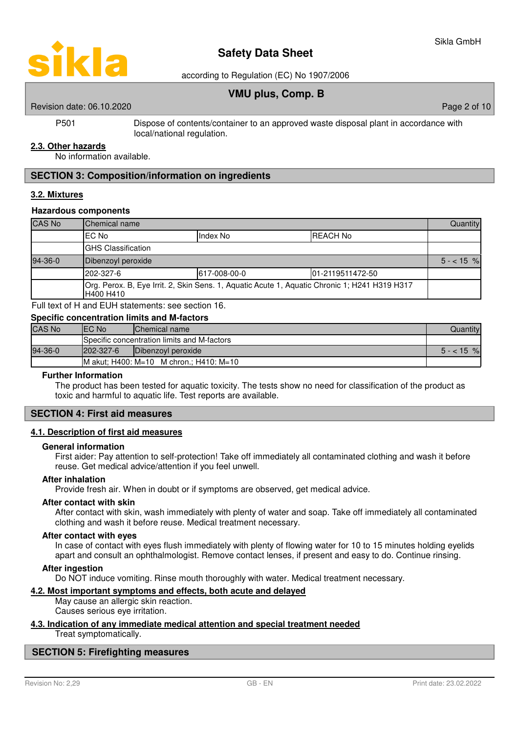

according to Regulation (EC) No 1907/2006

# **VMU plus, Comp. B**

Revision date: 06.10.2020 **Page 2 of 10** New York 2 of 10 New York 2 of 10

P501 Dispose of contents/container to an approved waste disposal plant in accordance with local/national regulation.

### **2 . 3 . Other hazards**

No information available.

### **SECTION 3: Composition/information on ingredients**

### **3 . 2 . Mixtures**

### **Hazardous components**

| <b>CAS No</b> | Chemical name                                                                                              |  |  | Quantity    |
|---------------|------------------------------------------------------------------------------------------------------------|--|--|-------------|
|               | IEC No<br><b>REACH No</b><br>Index No                                                                      |  |  |             |
|               | <b>GHS Classification</b>                                                                                  |  |  |             |
| 94-36-0       | Dibenzoyl peroxide                                                                                         |  |  | $5 - 15 \%$ |
|               | 202-327-6<br>101-2119511472-50<br>617-008-00-0                                                             |  |  |             |
|               | Org. Perox. B, Eye Irrit. 2, Skin Sens. 1, Aquatic Acute 1, Aquatic Chronic 1; H241 H319 H317<br>H400 H410 |  |  |             |

Full text of H and EUH statements: see section 16.

| <b>Specific concentration limits and M-factors</b> |                                             |                    |            |  |
|----------------------------------------------------|---------------------------------------------|--------------------|------------|--|
| <b>CAS No</b>                                      | IEC No                                      | Chemical name      | Quantity   |  |
|                                                    | Specific concentration limits and M-factors |                    |            |  |
| 94-36-0                                            | $1202 - 327 - 6$                            | Dibenzoyl peroxide | $5 - 15$ % |  |
| M akut: H400: M=10 M chron.: H410: M=10            |                                             |                    |            |  |

### **Further Information**

The product has been tested for aquatic toxicity. The tests show no need for classification of the product as toxic and harmful to aquatic life. Test reports are available.

### **SECTION 4: First aid measures**

### **4 . 1 . Description of first aid measures**

### **General information**

First aider: Pay attention to self-protection! Take off immediately all contaminated clothing and wash it before reuse. Get medical advice/attention if you feel unwell.

### **After inhalation**

Provide fresh air. When in doubt or if symptoms are observed, get medical advice.

### **After contact with skin**

After contact with skin, wash immediately with plenty of water and soap. Take off immediately all contaminated clothing and wash it before reuse. Medical treatment necessary.

### **After contact with eyes**

In case of contact with eyes flush immediately with plenty of flowing water for 10 to 15 minutes holding eyelids apart and consult an ophthalmologist. Remove contact lenses, if present and easy to do. Continue rinsing.

### **After ingestion**

Do NOT induce vomiting. Rinse mouth thoroughly with water. Medical treatment necessary.

### **4 . 2 . Most important symptoms and effects , both acute and delayed**

May cause an allergic skin reaction. Causes serious eye irritation.

### **4 . 3 . Indication of any immediate medical attention and special treatment needed**

Treat symptomatically.

# **SECTION 5: Firefighting measures**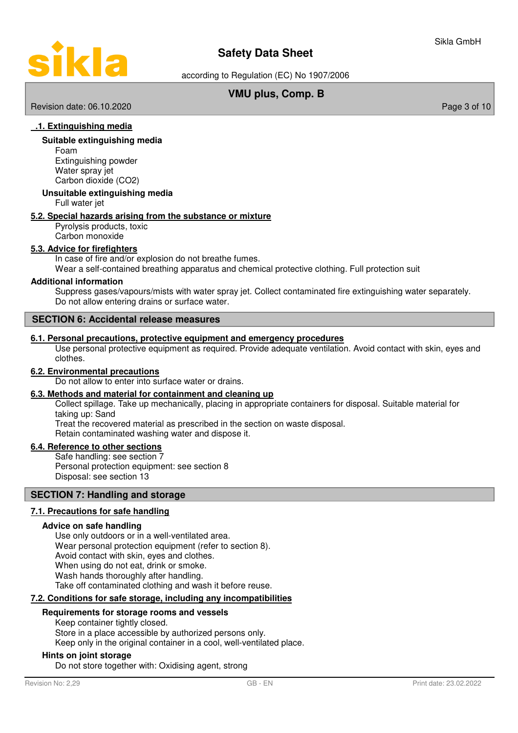

according to Regulation (EC) No 1907/2006

# **VMU plus, Comp. B**

Revision date: 06.10.2020 **Page 3 of 10** New York 2010 12:00 Page 3 of 10

### **. 1 . E xtinguishing media**

### **Suitable extinguishing media**

Foam Extinguishing powder Water spray jet Carbon dioxide (CO2)

### **Unsuitable extinguishing media**

Full water jet

### **5 . 2 . Special hazards arising from the substance or mixture**

Pyrolysis products, toxic Carbon monoxide

### **5 . 3 . Advice for firefighters**

In case of fire and/or explosion do not breathe fumes.

Wear a self-contained breathing apparatus and chemical protective clothing. Full protection suit

### **Additional information**

Suppress gases/vapours/mists with water spray jet. Collect contaminated fire extinguishing water separately. Do not allow entering drains or surface water.

### **SECTION 6: Accidental release measures**

### **6 . 1 . Personal precautions , protective equipment and emergency procedures**

Use personal protective equipment as required. Provide adequate ventilation. Avoid contact with skin, eyes and clothes.

### **6 . 2 . Environmental precautions**

Do not allow to enter into surface water or drains.

### **6 . 3 . Methods and material for containment and cleaning up**

Collect spillage. Take up mechanically, placing in appropriate containers for disposal. Suitable material for taking up: Sand

Treat the recovered material as prescribed in the section on waste disposal.

Retain contaminated washing water and dispose it.

## **6 . 4 . Reference to other sections**

Safe handling: see section 7 Personal protection equipment: see section 8 Disposal: see section 13

### **SECTION 7: Handling and storage**

### **7 . 1 . Precautions for safe handling**

### **Advice on safe handling**

Use only outdoors or in a well-ventilated area. Wear personal protection equipment (refer to section 8). Avoid contact with skin, eyes and clothes. When using do not eat, drink or smoke. Wash hands thoroughly after handling. Take off contaminated clothing and wash it before reuse.

### **7 . 2 . Conditions for safe storage , including any incompatibilities**

### **Requirements for storage rooms and vessels**

Keep container tightly closed. Store in a place accessible by authorized persons only.

Keep only in the original container in a cool, well-ventilated place.

### **Hints on joint storage**

Do not store together with: Oxidising agent, strong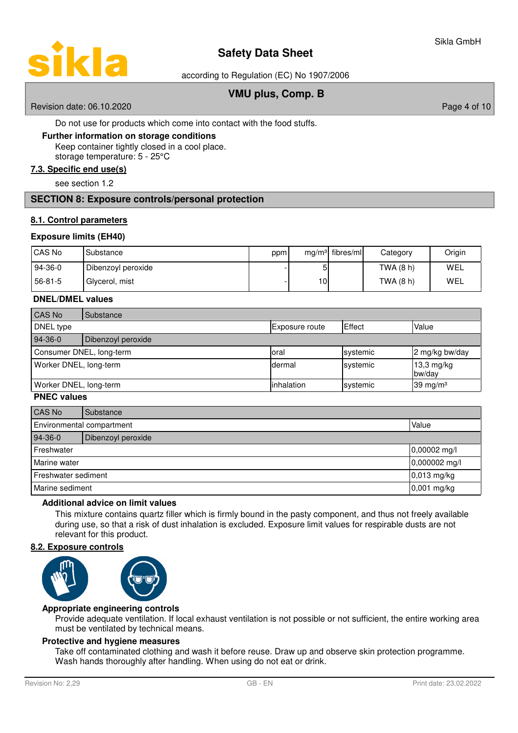

according to Regulation (EC) No 1907/2006

# **VMU plus, Comp. B**

Revision date: 06.10.2020 **Page 4 of 10** New York 2010 12:00 Page 4 of 10

Do not use for products which come into contact with the food stuffs.

### **Further information on storage conditions**

Keep container tightly closed in a cool place. storage temperature: 5 - 25°C

**7 . 3 . Specific end use ( s )**

see section 1.2

## **SECTION 8: Exposure controls/personal protection**

### **8 . 1 . Control parameters**

### **Exposure limits (EH40)**

| CAS No    | Substance          | ppm |     | $mg/m3$ fibres/ml | Category  | Origin |
|-----------|--------------------|-----|-----|-------------------|-----------|--------|
| $94-36-0$ | Dibenzoyl peroxide |     | 51  |                   | TWA (8 h) | WEL    |
| 56-81-5   | Glycerol, mist     |     | 10I |                   | TWA (8 h) | WEL    |

### **DNEL/DMEL values**

| CAS No                   | Substance          |                       |          |                      |
|--------------------------|--------------------|-----------------------|----------|----------------------|
| DNEL type                |                    | <b>Exposure route</b> | Effect   | Value                |
| $94-36-0$                | Dibenzoyl peroxide |                       |          |                      |
| Consumer DNEL, long-term |                    | Ioral                 | systemic | 2 mg/kg bw/day       |
| Worker DNEL, long-term   |                    | Idermal               | systemic | 13,3 mg/kg<br>bw/day |
| Worker DNEL, long-term   |                    | linhalation           | systemic | 39 mg/m $3$          |

### **PNEC values**

| CAS No                             | Substance          |               |
|------------------------------------|--------------------|---------------|
| Environmental compartment<br>Value |                    |               |
| 94-36-0                            | Dibenzoyl peroxide |               |
| Freshwater                         |                    | 0,00002 mg/l  |
| Marine water                       |                    | 0,000002 mg/l |
| Freshwater sediment                |                    | $0,013$ mg/kg |
| Marine sediment                    |                    | $0,001$ mg/kg |

### **Additional advice on limit values**

This mixture contains quartz filler which is firmly bound in the pasty component, and thus not freely available during use, so that a risk of dust inhalation is excluded. Exposure limit values for respirable dusts are not relevant for this product.

### **8 . 2 . Exposure controls**



### **Appropriate engineering controls**

Provide adequate ventilation. If local exhaust ventilation is not possible or not sufficient, the entire working area must be ventilated by technical means.

### **Protective and hygiene measures**

Take off contaminated clothing and wash it before reuse. Draw up and observe skin protection programme. Wash hands thoroughly after handling. When using do not eat or drink.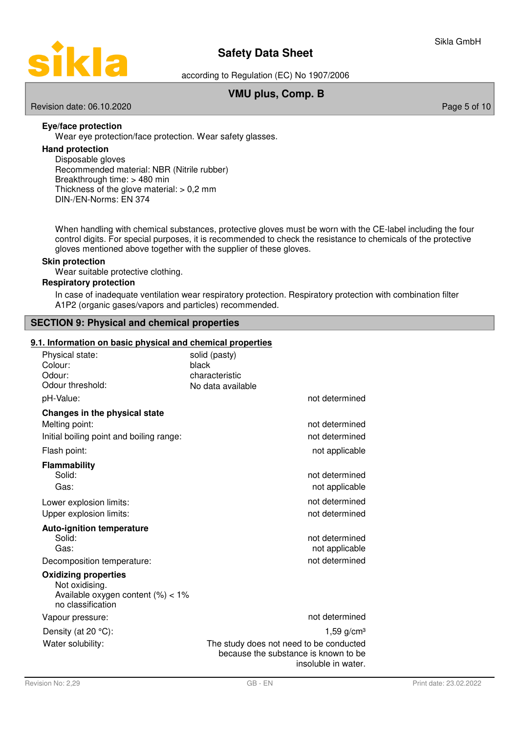

according to Regulation (EC) No 1907/2006

# **VMU plus, Comp. B**

Revision date: 06.10.2020 **Page 5 of 10** New York 2012 12:00 Page 5 of 10

# **Eye/face protection**

Wear eye protection/face protection. Wear safety glasses.

# **Hand protection**

Disposable gloves Recommended material: NBR (Nitrile rubber) Breakthrough time: > 480 min Thickness of the glove material:  $> 0.2$  mm DIN-/EN-Norms: EN 374

When handling with chemical substances, protective gloves must be worn with the CE-label including the four control digits. For special purposes, it is recommended to check the resistance to chemicals of the protective gloves mentioned above together with the supplier of these gloves.

### **Skin protection**

Wear suitable protective clothing.

### **Respiratory protection**

In case of inadequate ventilation wear respiratory protection. Respiratory protection with combination filter A1P2 (organic gases/vapors and particles) recommended.

# **SECTION 9: Physical and chemical properties**

### **9.1. Information on basic physical and chemical properties**

| Physical state:<br>Colour:<br>Odour:<br>Odour threshold:                                                  | solid (pasty)<br>black<br>characteristic                                                               |
|-----------------------------------------------------------------------------------------------------------|--------------------------------------------------------------------------------------------------------|
| pH-Value:                                                                                                 | No data available<br>not determined                                                                    |
|                                                                                                           |                                                                                                        |
| Changes in the physical state<br>Melting point:                                                           | not determined                                                                                         |
| Initial boiling point and boiling range:                                                                  | not determined                                                                                         |
| Flash point:                                                                                              | not applicable                                                                                         |
| <b>Flammability</b><br>Solid:<br>Gas:                                                                     | not determined<br>not applicable                                                                       |
| Lower explosion limits:                                                                                   | not determined                                                                                         |
| Upper explosion limits:                                                                                   | not determined                                                                                         |
| <b>Auto-ignition temperature</b><br>Solid:<br>Gas:                                                        | not determined<br>not applicable                                                                       |
| Decomposition temperature:                                                                                | not determined                                                                                         |
| <b>Oxidizing properties</b><br>Not oxidising.<br>Available oxygen content $(\%)<1\%$<br>no classification |                                                                                                        |
| Vapour pressure:                                                                                          | not determined                                                                                         |
| Density (at $20 °C$ ):                                                                                    | 1,59 $g/cm3$                                                                                           |
| Water solubility:                                                                                         | The study does not need to be conducted<br>because the substance is known to be<br>insoluble in water. |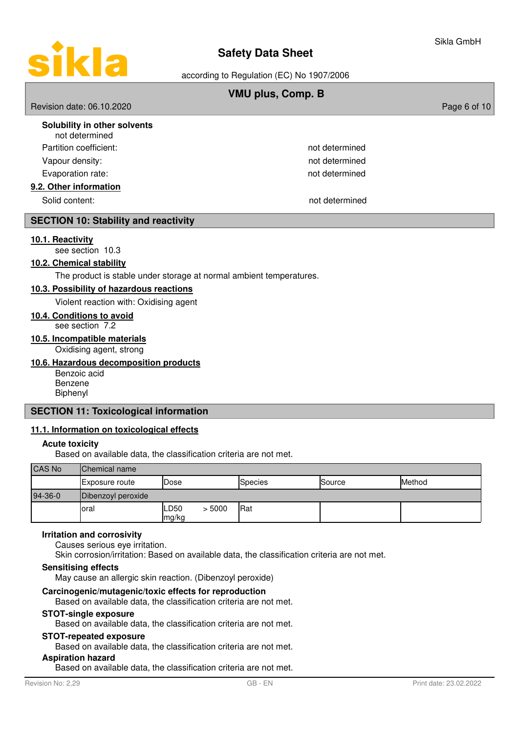

according to Regulation (EC) No 1907/2006

# **VMU plus, Comp. B**

Revision date: 06.10.2020 **Page 6 of 10** New York 2012 12:00 Page 6 of 10

| Solubility in other solvents<br>not determined |                |
|------------------------------------------------|----------------|
| Partition coefficient:                         | not determined |
| Vapour density:                                | not determined |
| Evaporation rate:                              | not determined |
| 9.2. Other information                         |                |
| Solid content:                                 | not determined |

## **SECTION 10: Stability and reactivity**

### **1 0. 1 . R eactivity**

see section 10.3

# **10.2. Chemical stability**

The product is stable under storage at normal ambient temperatures.

### **1 0. 3 . P ossibility of hazardous reactions**

Violent reaction with: Oxidising agent

### **10 . 4 . Conditions to avoid**

see section 7.2

# **10 . 5 . Incompatible materials**

Oxidising agent, strong

### **10 . 6 . Hazardous decomposition products**

Benzoic acid Benzene Biphenyl

## **SECTION 11: Toxicological information**

### **11 . 1 . Information on toxicological effects**

### **Acute toxicity**

Based on available data, the classification criteria are not met.

| <b>CAS No</b> | <b>Chemical name</b>  |               |        |            |        |        |
|---------------|-----------------------|---------------|--------|------------|--------|--------|
|               | <b>Exposure route</b> | Dose          |        | Species    | Source | Method |
| $94-36-0$     | Dibenzoyl peroxide    |               |        |            |        |        |
|               | loral                 | LD50<br>mg/kg | > 5000 | <b>Rat</b> |        |        |

### **Irritation and corrosivity**

Causes serious eye irritation.

Skin corrosion/irritation: Based on available data, the classification criteria are not met.

### **Sensitising effects**

May cause an allergic skin reaction. (Dibenzoyl peroxide)

### **Carcinogenic/mutagenic/toxic effects for reproduction**

Based on available data, the classification criteria are not met.

### **STOT-single exposure**

Based on available data, the classification criteria are not met.

# **STOT-repeated exposure**

Based on available data, the classification criteria are not met.

## **Aspiration hazard**

Based on available data, the classification criteria are not met.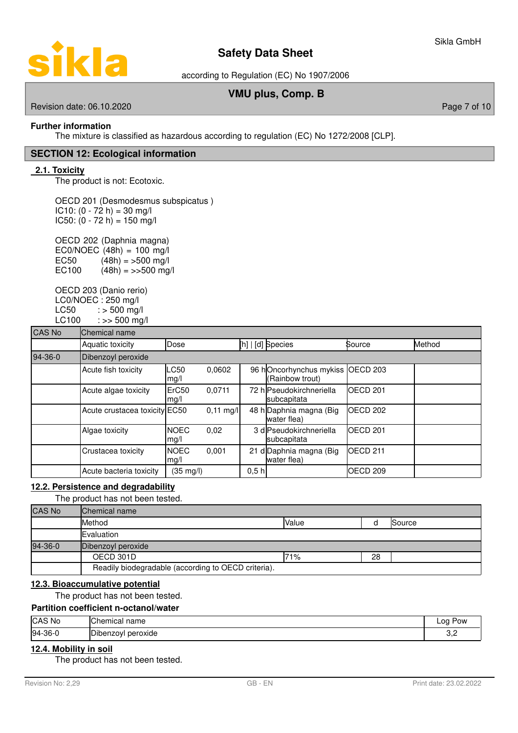

according to Regulation (EC) No 1907/2006

# **VMU plus, Comp. B**

Revision date: 06.10.2020 **Page 7 of 10** New York 2012 12:00 Page 7 of 10

**ikla** 

## **Further information**

The mixture is classified as hazardous according to regulation (EC) No 1272/2008 [CLP].

### **SECTION 12: Ecological information**

### **2.1. Toxicity**

 $\overline{\mathbf{C}}$ 

The product is not: Ecotoxic.

OECD 201 (Desmodesmus subspicatus )  $IC10: (0 - 72 h) = 30 mg/l$  $IC50: (0 - 72 h) = 150 mg/l$ 

OECD 202 (Daphnia magna) EC0/NOEC  $(48h) = 100$  mg/l EC50  $(48h) = 500$  mg/l EC100  $(48h) = \frac{500 \text{ mg}}{h}$ 

OECD 203 (Danio rerio) LC0/NOEC : 250 mg/l  $LC50$  :  $> 500$  mg/l  $LC100$  :  $>> 500$  mg/l

| <b>CAS No</b> | Chemical name                 |                           |             |       |                                            |                     |        |  |
|---------------|-------------------------------|---------------------------|-------------|-------|--------------------------------------------|---------------------|--------|--|
|               | Aquatic toxicity              | Dose                      |             |       | [h]   [d] Species                          | Source              | Method |  |
| 94-36-0       | Dibenzoyl peroxide            |                           |             |       |                                            |                     |        |  |
|               | Acute fish toxicity           | LC50<br>mg/l              | 0.0602      |       | 96 hOncorhynchus mykiss<br>(Rainbow trout) | OECD <sub>203</sub> |        |  |
|               | Acute algae toxicity          | ErC <sub>50</sub><br>mg/l | 0,0711      |       | 72 hlPseudokirchneriella<br>subcapitata    | OECD <sub>201</sub> |        |  |
|               | Acute crustacea toxicity EC50 |                           | $0,11$ mg/l |       | 48 h Daphnia magna (Big<br>water flea)     | OECD <sub>202</sub> |        |  |
|               | Algae toxicity                | <b>NOEC</b><br>mg/l       | 0,02        |       | 3 dlPseudokirchneriella<br>subcapitata     | OECD <sub>201</sub> |        |  |
|               | Crustacea toxicity            | <b>NOEC</b><br>mg/l       | 0,001       |       | 21 d Daphnia magna (Big<br>water flea)     | OECD <sub>211</sub> |        |  |
|               | Acute bacteria toxicity       | (35 mg/l)                 |             | 0,5 h |                                            | OECD <sub>209</sub> |        |  |

### **12 . 2 . Persistence and degradability**

The product has not been tested.

| <b>CAS No</b> | Chemical name                                       |       |    |        |
|---------------|-----------------------------------------------------|-------|----|--------|
|               | Method                                              | Value |    | Source |
|               | Evaluation                                          |       |    |        |
| 94-36-0       | Dibenzoyl peroxide                                  |       |    |        |
|               | OECD 301D                                           | 71%   | 28 |        |
|               | Readily biodegradable (according to OECD criteria). |       |    |        |

### **12 . 3 . Bioaccumulative potential**

The product has not been tested.

### **Partition coefficient n-octanol/water**

| CAS No    | Chemical<br>name                    | na<br>Pow<br>--- |
|-----------|-------------------------------------|------------------|
| $94-36-0$ | ירו<br>peroxide<br><b>Dibenzovi</b> | --               |

### **12 . 4 . Mobility in soil**

The product has not been tested.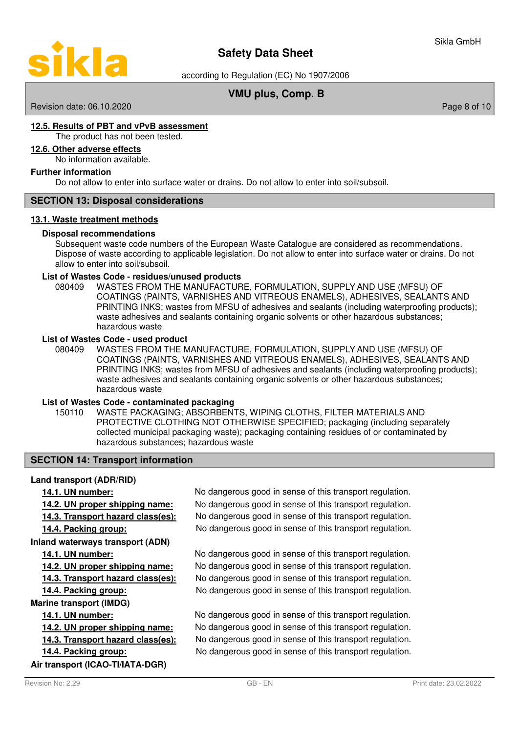

according to Regulation (EC) No 1907/2006

# **VMU plus, Comp. B**

### Revision date: 06.10.2020 **Page 8 of 10**

## **1 2. 5 . R esults of PBT and vPvB assessment**

The product has not been tested.

### **12 . 6 . Other adverse effects**

No information available.

### **Further information**

Do not allow to enter into surface water or drains. Do not allow to enter into soil/subsoil.

### **SECTION 13: Disposal considerations**

### **13 . 1 . Waste treatment methods**

### **Disposal recommendations**

Subsequent waste code numbers of the European Waste Catalogue are considered as recommendations. Dispose of waste according to applicable legislation. Do not allow to enter into surface water or drains. Do not allow to enter into soil/subsoil.

### **List of Wastes Code - residues/unused products**

080409 WASTES FROM THE MANUFACTURE, FORMULATION, SUPPLY AND USE (MFSU) OF COATINGS (PAINTS, VARNISHES AND VITREOUS ENAMELS), ADHESIVES, SEALANTS AND PRINTING INKS; wastes from MFSU of adhesives and sealants (including waterproofing products); waste adhesives and sealants containing organic solvents or other hazardous substances; hazardous waste

### **List of Wastes Code - used product**

WASTES FROM THE MANUFACTURE, FORMULATION, SUPPLY AND USE (MFSU) OF COATINGS (PAINTS, VARNISHES AND VITREOUS ENAMELS), ADHESIVES, SEALANTS AND PRINTING INKS; wastes from MFSU of adhesives and sealants (including waterproofing products); waste adhesives and sealants containing organic solvents or other hazardous substances; hazardous waste 080409

### **List of Wastes Code - contaminated packaging**

WASTE PACKAGING; ABSORBENTS, WIPING CLOTHS, FILTER MATERIALS AND PROTECTIVE CLOTHING NOT OTHERWISE SPECIFIED; packaging (including separately collected municipal packaging waste); packaging containing residues of or contaminated by hazardous substances; hazardous waste 150110

### **SECTION 14: Transport information**

### **Land transport (ADR/RID)**

### **Inland waterways transport (ADN)**

### **Marine transport (IMDG)**

**Air transport (ICAO-TI/IATA-DGR)**

**14.1. UN number:** No dangerous good in sense of this transport regulation. **14.2. UN proper shipping name:** No dangerous good in sense of this transport regulation. **14.3. Transport hazard class(es):** No dangerous good in sense of this transport regulation. **14.4. Packing group:** No dangerous good in sense of this transport regulation.

**14.1. UN number:** No dangerous good in sense of this transport regulation. **14.2. UN proper shipping name:** No dangerous good in sense of this transport regulation. **14.3. Transport hazard class(es):** No dangerous good in sense of this transport regulation. **14.4. Packing group:** No dangerous good in sense of this transport regulation.

**14.1. UN number:** No dangerous good in sense of this transport regulation. **14.2. UN proper shipping name:** No dangerous good in sense of this transport regulation. **14.3. Transport hazard class(es):** No dangerous good in sense of this transport regulation. **14.4. Packing group:** No dangerous good in sense of this transport regulation.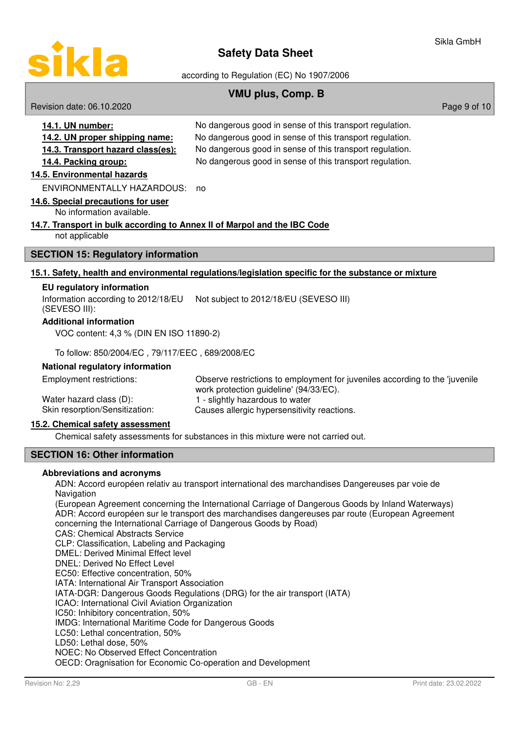

according to Regulation (EC) No 1907/2006

# **VMU plus, Comp. B**

Revision date: 06.10.2020 **Page 9 of 10** New York 2010 12:00 Page 9 of 10

| 14.1. UN number:                                                                                                                                                                                                                 | No dangerous good in sense of this transport regulation. |
|----------------------------------------------------------------------------------------------------------------------------------------------------------------------------------------------------------------------------------|----------------------------------------------------------|
| 14.2. UN proper shipping name:                                                                                                                                                                                                   | No dangerous good in sense of this transport regulation. |
| 14.3. Transport hazard class(es):                                                                                                                                                                                                | No dangerous good in sense of this transport regulation. |
| 14.4. Packing group:                                                                                                                                                                                                             | No dangerous good in sense of this transport regulation. |
| 14.5. Environmental hazards                                                                                                                                                                                                      |                                                          |
| ENVIRONMENTALLY HAZARDOUS:                                                                                                                                                                                                       | no                                                       |
| 14.6. Special precautions for user                                                                                                                                                                                               |                                                          |
| $\mathbf{r}$ , and the set of the set of the set of the set of the set of the set of the set of the set of the set of the set of the set of the set of the set of the set of the set of the set of the set of the set of the set |                                                          |

No information available.

### **14. 7 . T ransport in bulk according to Annex II of Marpol and the IBC Code**

not applicable

### **SECTION 15: Regulatory information**

### **1 5. 1 . S afety, h ealth and environmental regulations/ l egislation specific for the substance or mixture**

### **EU regulatory information**

Not subject to 2012/18/EU (SEVESO III) Information according to 2012/18/EU

(SEVESO III):

### **Additional information**

VOC content: 4,3 % (DIN EN ISO 11890-2)

To follow: 850/2004/EC , 79/117/EEC , 689/2008/EC

### **National regulatory information**

Observe restrictions to employment for juveniles according to the 'juvenile work protection guideline' (94/33/EC). Employment restrictions: Water hazard class (D): 1 - slightly hazardous to water Skin resorption/Sensitization: Causes allergic hypersensitivity reactions.

### **15. 2 . C hemical safety assessment**

Chemical safety assessments for substances in this mixture were not carried out.

## **SECTION 16: Other information**

### **Abbreviations and acronyms**

ADN: Accord européen relativ au transport international des marchandises Dangereuses par voie de Navigation

(European Agreement concerning the International Carriage of Dangerous Goods by Inland Waterways) ADR: Accord européen sur le transport des marchandises dangereuses par route (European Agreement concerning the International Carriage of Dangerous Goods by Road)

CAS: Chemical Abstracts Service

CLP: Classification, Labeling and Packaging

DMEL: Derived Minimal Effect level

DNEL: Derived No Effect Level

EC50: Effective concentration, 50%

IATA: International Air Transport Association

IATA-DGR: Dangerous Goods Regulations (DRG) for the air transport (IATA)

ICAO: International Civil Aviation Organization

IC50: Inhibitory concentration, 50%

IMDG: International Maritime Code for Dangerous Goods

LC50: Lethal concentration, 50%

LD50: Lethal dose, 50%

NOEC: No Observed Effect Concentration

OECD: Oragnisation for Economic Co-operation and Development